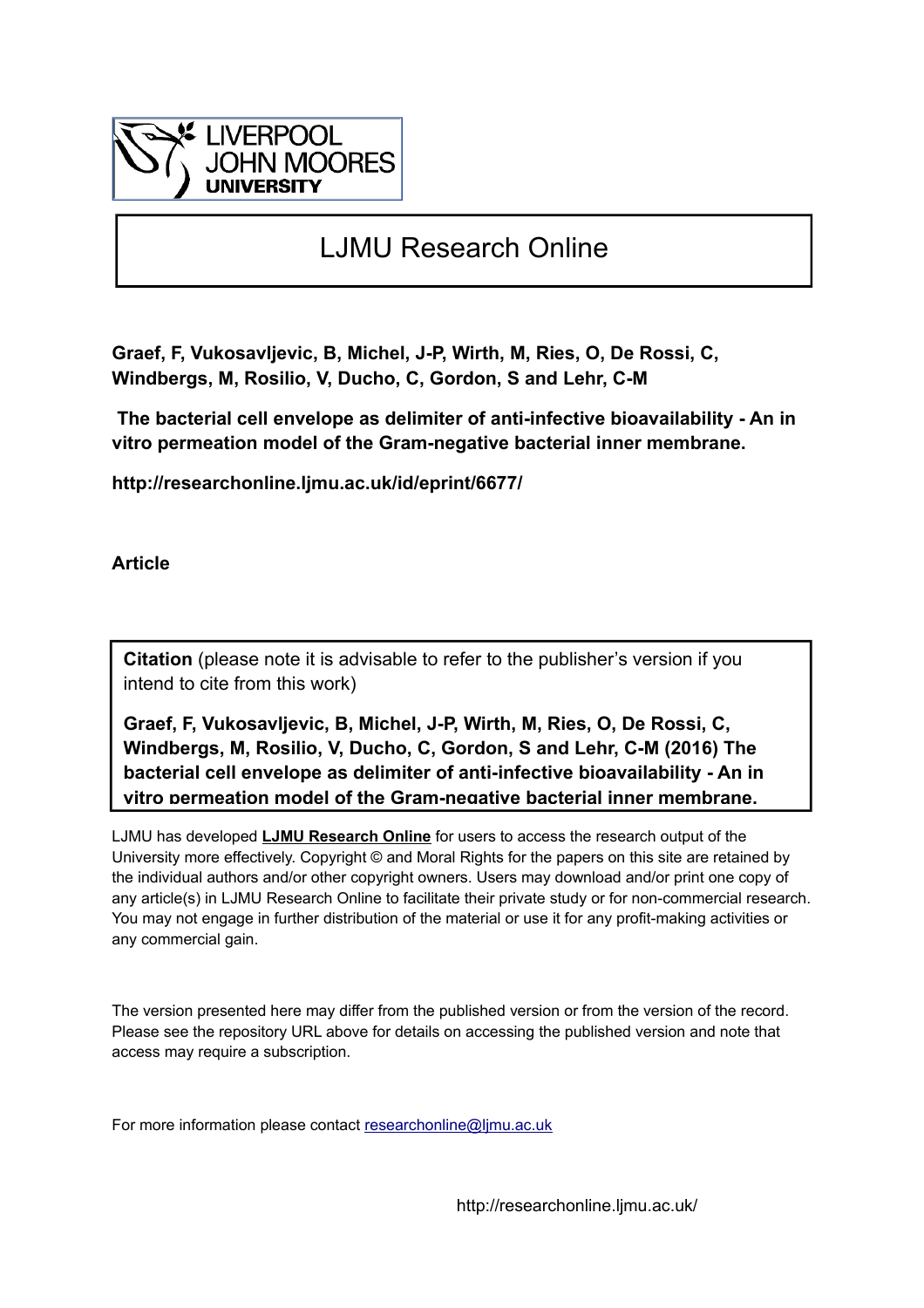

# LJMU Research Online

**Graef, F, Vukosavljevic, B, Michel, J-P, Wirth, M, Ries, O, De Rossi, C, Windbergs, M, Rosilio, V, Ducho, C, Gordon, S and Lehr, C-M**

 **The bacterial cell envelope as delimiter of anti-infective bioavailability - An in vitro permeation model of the Gram-negative bacterial inner membrane.**

**http://researchonline.ljmu.ac.uk/id/eprint/6677/**

**Article**

**Citation** (please note it is advisable to refer to the publisher's version if you intend to cite from this work)

**Graef, F, Vukosavljevic, B, Michel, J-P, Wirth, M, Ries, O, De Rossi, C, Windbergs, M, Rosilio, V, Ducho, C, Gordon, S and Lehr, C-M (2016) The bacterial cell envelope as delimiter of anti-infective bioavailability - An in vitro permeation model of the Gram-negative bacterial inner membrane.** 

LJMU has developed **[LJMU Research Online](http://researchonline.ljmu.ac.uk/)** for users to access the research output of the University more effectively. Copyright © and Moral Rights for the papers on this site are retained by the individual authors and/or other copyright owners. Users may download and/or print one copy of any article(s) in LJMU Research Online to facilitate their private study or for non-commercial research. You may not engage in further distribution of the material or use it for any profit-making activities or any commercial gain.

The version presented here may differ from the published version or from the version of the record. Please see the repository URL above for details on accessing the published version and note that access may require a subscription.

For more information please contact researchonline@limu.ac.uk

http://researchonline.ljmu.ac.uk/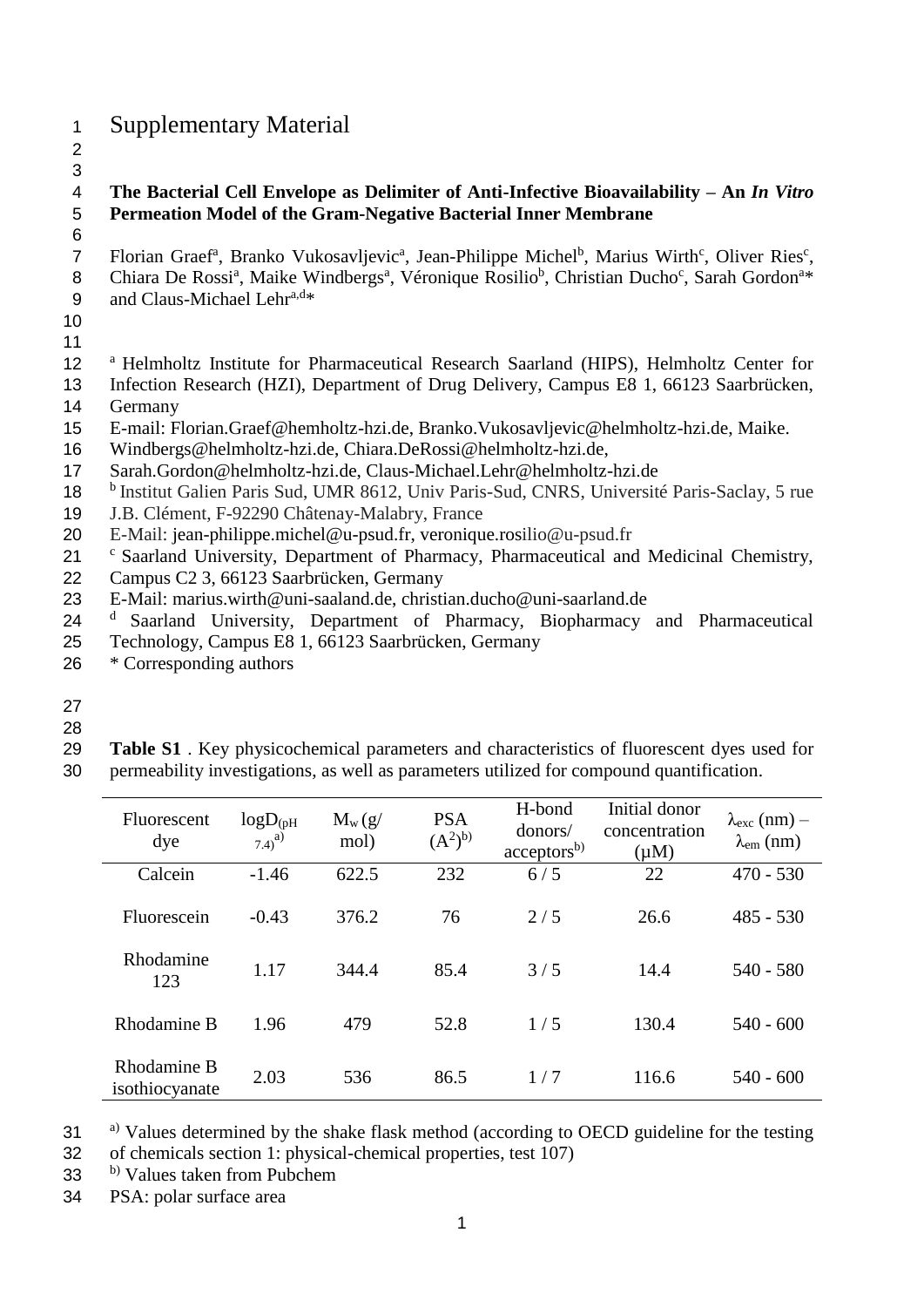# <sup>1</sup> Supplementary Material

2 3

6

## 4 **The Bacterial Cell Envelope as Delimiter of Anti-Infective Bioavailability – An** *In Vitro*  5 **Permeation Model of the Gram-Negative Bacterial Inner Membrane**

7 Florian Graef<sup>a</sup>, Branko Vukosavljevic<sup>a</sup>, Jean-Philippe Michel<sup>b</sup>, Marius Wirth<sup>c</sup>, Oliver Ries<sup>c</sup>, 8 Chiara De Rossi<sup>a</sup>, Maike Windbergs<sup>a</sup>, Véronique Rosilio<sup>b</sup>, Christian Ducho<sup>c</sup>, Sarah Gordon<sup>a</sup>\* 9 and Claus-Michael Lehr $a,d*$ 

- 10
- 11

12 <sup>a</sup> Helmholtz Institute for Pharmaceutical Research Saarland (HIPS), Helmholtz Center for

- 13 Infection Research (HZI), Department of Drug Delivery, Campus E8 1, 66123 Saarbrücken, 14 Germany
- 15 E-mail: [Florian.Graef@hemholtz-hzi.de,](mailto:Florian.Graef@hemholtz-hzi.de) [Branko.Vukosavljevic@helmholtz-hzi.de,](mailto:Branko.Vukosavljevic@helmholtz-hzi.de) Maike.
- 16 [Windbergs@helmholtz-hzi.de,](mailto:Windbergs@helmholtz-hzi.de) [Chiara.DeRossi@helmholtz-hzi.de,](mailto:Chiara.DeRossi@helmholtz-hzi.de)
- 17 [Sarah.Gordon@helmholtz-hzi.de,](mailto:Sarah.Gordon@helmholtz-hzi.de) [Claus-Michael.Lehr@helmholtz-hzi.de](mailto:Claus-Michael.Lehr@helmholtz-hzi.de)
- 18 <sup>b</sup> Institut Galien Paris Sud, UMR 8612, Univ Paris-Sud, CNRS, Université Paris-Saclay, 5 rue
- 19 J.B. Clément, F-92290 Châtenay-Malabry, France
- 20 E-Mail: jean-philippe.michel@u-psud.fr, veronique.rosilio@u-psud.fr
- 21 <sup>c</sup> Saarland University, Department of Pharmacy, Pharmaceutical and Medicinal Chemistry,
- 22 Campus C2 3, 66123 Saarbrücken, Germany
- 23 E-Mail: marius.wirth@uni-saaland.de, christian.ducho@uni-saarland.de<br>24 <sup>d</sup> Saarland University Denartment of Pharmacy, Biopharmacy
- 24 <sup>d</sup> Saarland University, Department of Pharmacy, Biopharmacy and Pharmaceutical
- 25 Technology, Campus E8 1, 66123 Saarbrücken, Germany
- 26 \* Corresponding authors
- 27
- 28
- 29 **Table S1** . Key physicochemical parameters and characteristics of fluorescent dyes used for
- 30 permeability investigations, as well as parameters utilized for compound quantification.

| Fluorescent<br>dye            | $logD_{(pH)}$<br>$7.4)^{a)}$ | $M_w(g)$<br>mol) | <b>PSA</b><br>$(A^2)^{b)}$ | H-bond<br>donors/<br>acceptors <sup>b</sup> | Initial donor<br>concentration<br>$(\mu M)$ | $\lambda_{\rm exc}$ (nm) –<br>$\lambda_{\rm em}$ (nm) |
|-------------------------------|------------------------------|------------------|----------------------------|---------------------------------------------|---------------------------------------------|-------------------------------------------------------|
| Calcein                       | $-1.46$                      | 622.5            | 232                        | 6/5                                         | 22                                          | $470 - 530$                                           |
| Fluorescein                   | $-0.43$                      | 376.2            | 76                         | 2/5                                         | 26.6                                        | $485 - 530$                                           |
| Rhodamine<br>123              | 1.17                         | 344.4            | 85.4                       | 3/5                                         | 14.4                                        | $540 - 580$                                           |
| Rhodamine B                   | 1.96                         | 479              | 52.8                       | 1/5                                         | 130.4                                       | $540 - 600$                                           |
| Rhodamine B<br>isothiocyanate | 2.03                         | 536              | 86.5                       | 1/7                                         | 116.6                                       | $540 - 600$                                           |

 $31$  <sup>a)</sup> Values determined by the shake flask method (according to OECD guideline for the testing 32 of chemicals section 1: physical-chemical properties, test 107)

- b) 33 Values taken from Pubchem
- 34 PSA: polar surface area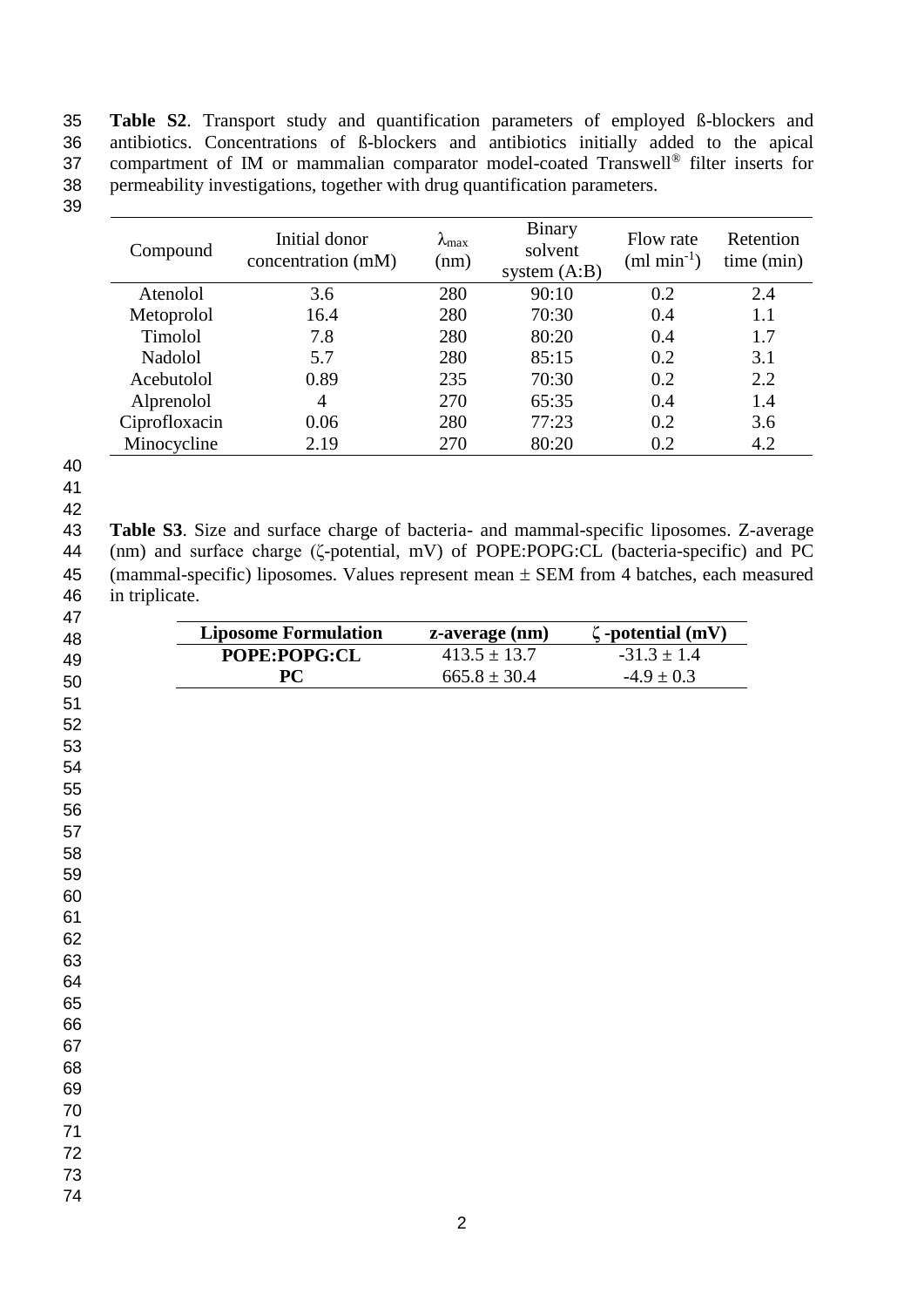**Table S2**. Transport study and quantification parameters of employed ß-blockers and antibiotics. Concentrations of ß-blockers and antibiotics initially added to the apical 37 compartment of IM or mammalian comparator model-coated Transwell<sup>®</sup> filter inserts for permeability investigations, together with drug quantification parameters.

| Compound      | Initial donor<br>concentration (mM) | $\lambda_{\text{max}}$<br>(nm) | <b>Binary</b><br>solvent<br>system $(A:B)$ | Flow rate<br>$(ml min-1)$ | Retention<br>time (min) |
|---------------|-------------------------------------|--------------------------------|--------------------------------------------|---------------------------|-------------------------|
| Atenolol      | 3.6                                 | 280                            | 90:10                                      | 0.2                       | 2.4                     |
| Metoprolol    | 16.4                                | 280                            | 70:30                                      | 0.4                       | 1.1                     |
| Timolol       | 7.8                                 | 280                            | 80:20                                      | 0.4                       | 1.7                     |
| Nadolol       | 5.7                                 | 280                            | 85:15                                      | 0.2                       | 3.1                     |
| Acebutolol    | 0.89                                | 235                            | 70:30                                      | 0.2                       | 2.2                     |
| Alprenolol    | 4                                   | 270                            | 65:35                                      | 0.4                       | 1.4                     |
| Ciprofloxacin | 0.06                                | 280                            | 77:23                                      | 0.2                       | 3.6                     |
| Minocycline   | 2.19                                | 270                            | 80:20                                      | 0.2                       | 4.2                     |

- 
- 
- 

 **Table S3**. Size and surface charge of bacteria- and mammal-specific liposomes. Z-average (nm) and surface charge (ζ-potential, mV) of POPE:POPG:CL (bacteria-specific) and PC 45 (mammal-specific) liposomes. Values represent mean  $\pm$  SEM from 4 batches, each measured in triplicate.

| $\zeta$ -potential (mV)<br>$-31.3 \pm 1.4$ |
|--------------------------------------------|
|                                            |
|                                            |
| $-4.9 \pm 0.3$                             |
|                                            |
|                                            |
|                                            |
|                                            |
|                                            |
|                                            |
|                                            |
|                                            |
|                                            |
|                                            |
|                                            |
|                                            |
|                                            |
|                                            |
|                                            |
|                                            |
|                                            |
|                                            |
|                                            |
|                                            |
|                                            |
|                                            |
|                                            |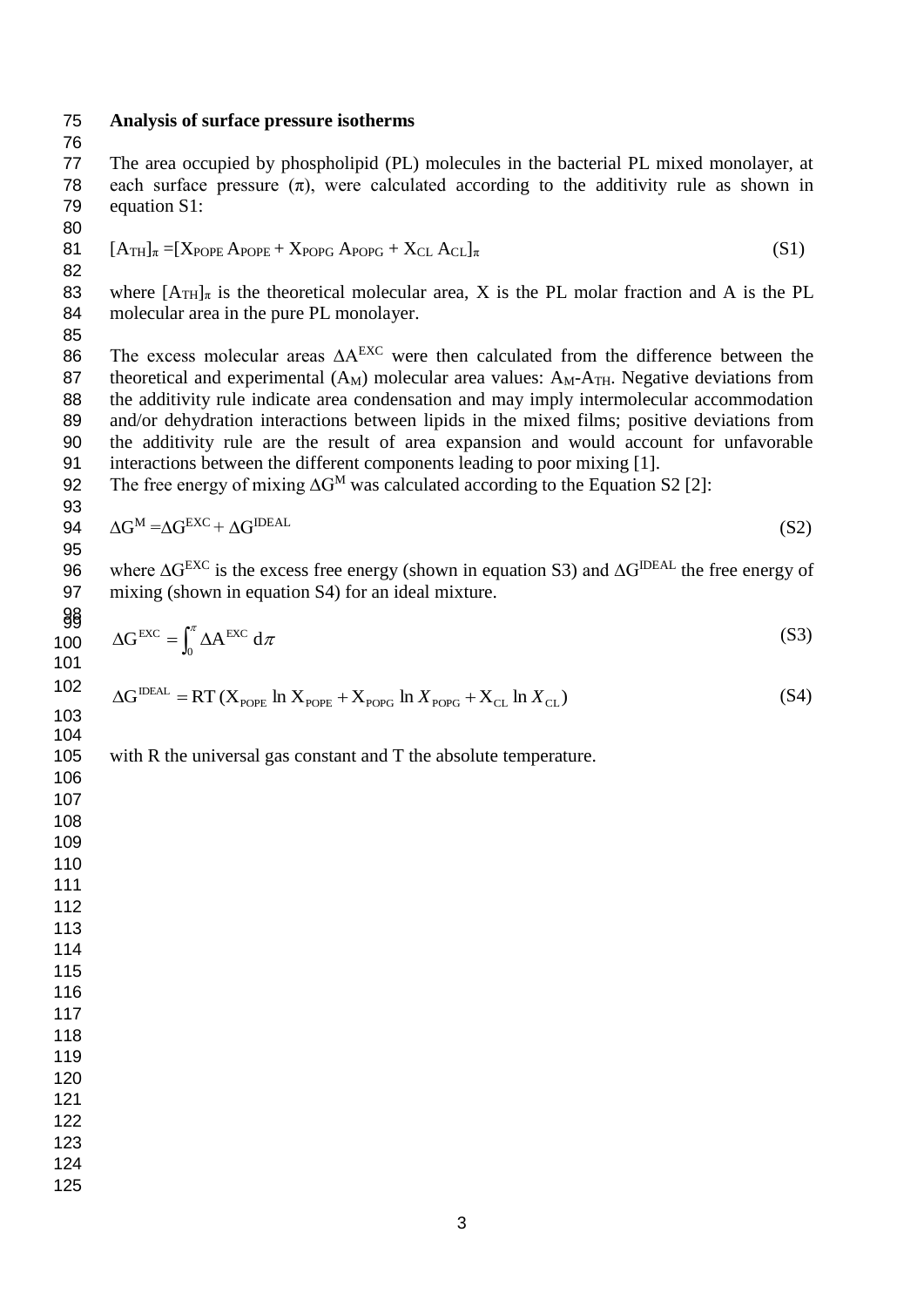#### **Analysis of surface pressure isotherms**

 The area occupied by phospholipid (PL) molecules in the bacterial PL mixed monolayer, at 78 each surface pressure  $(\pi)$ , were calculated according to the additivity rule as shown in equation S1:

81  $[A_{TH}]_\pi = [X_{POPE} A_{POPE} + X_{POPG} A_{POPG} + X_{CL} A_{CL}]_\pi$  (S1)

83 where  $[A_{TH}]_\pi$  is the theoretical molecular area, X is the PL molar fraction and A is the PL molecular area in the pure PL monolayer.

The excess molecular areas  $\Delta A^{EXC}$  were then calculated from the difference between the 87 theoretical and experimental  $(A_M)$  molecular area values:  $A_M-A_{TH}$ . Negative deviations from the additivity rule indicate area condensation and may imply intermolecular accommodation 89 and/or dehydration interactions between lipids in the mixed films; positive deviations from the additivity rule are the result of area expansion and would account for unfavorable interactions between the different components leading to poor mixing [1].

92 The free energy of mixing  $\Delta G^M$  was calculated according to the Equation S2 [2]:

$$
94 \quad \Delta G^{\rm M} = \Delta G^{\rm EXC} + \Delta G^{\rm IDEAL} \tag{S2}
$$

96 where  $\Delta G^{EXC}$  is the excess free energy (shown in equation S3) and  $\Delta G^{IDEAL}$  the free energy of mixing (shown in equation S4) for an ideal mixture. 

$$
\frac{\partial \mathbf{g}}{\partial \mathbf{g}} \quad \Delta \mathbf{G}^{\text{EXC}} = \int_0^{\pi} \Delta \mathbf{A}^{\text{EXC}} \, \mathrm{d}\pi \tag{S3}
$$

$$
\Delta G^{\text{IDEAL}} = RT (X_{\text{POPE}} \ln X_{\text{POPE}} + X_{\text{POPG}} \ln X_{\text{POPG}} + X_{\text{CL}} \ln X_{\text{CL}})
$$
\n(S4)

with R the universal gas constant and T the absolute temperature.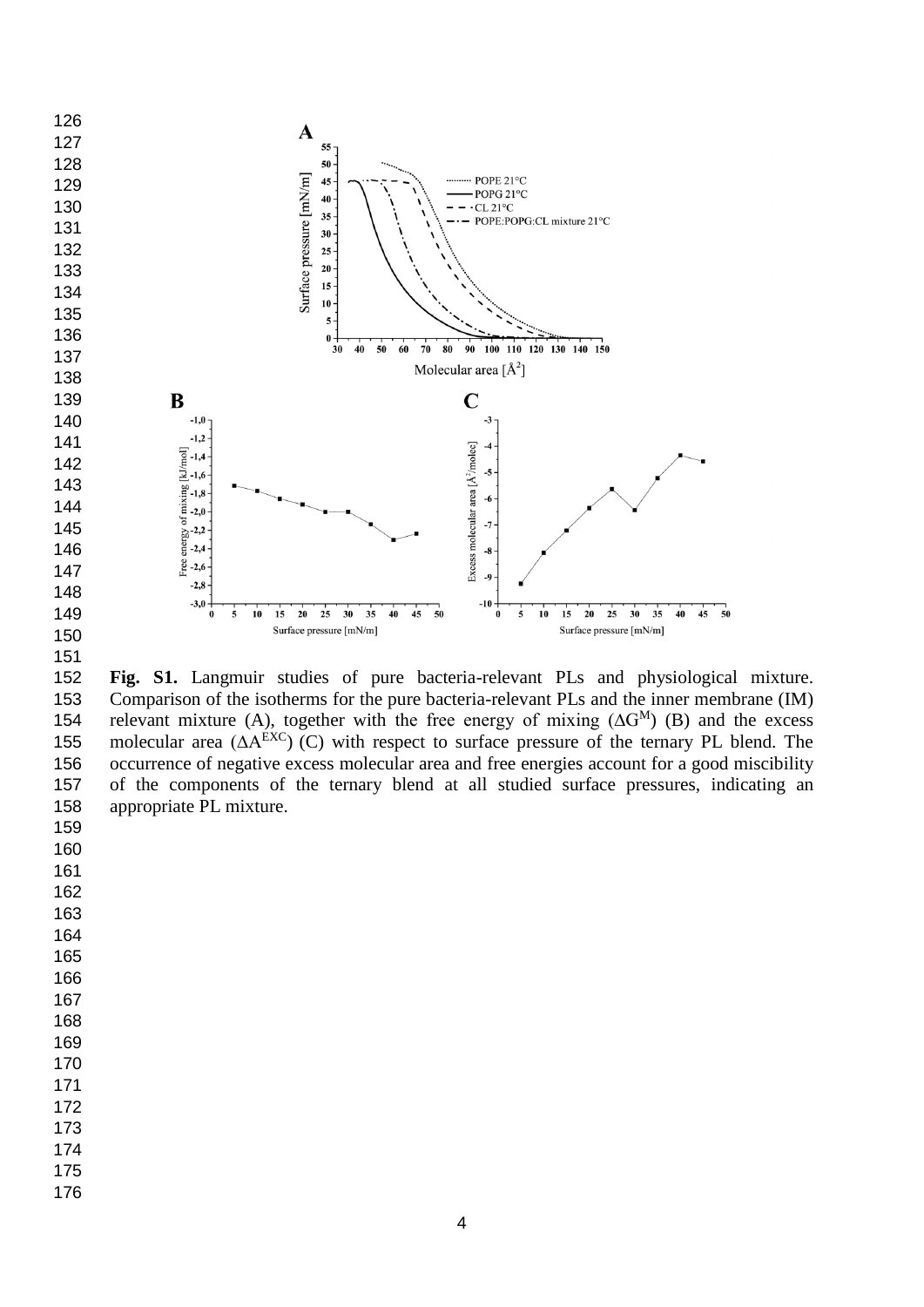

 **Fig. S1.** Langmuir studies of pure bacteria-relevant PLs and physiological mixture. Comparison of the isotherms for the pure bacteria-relevant PLs and the inner membrane (IM) 154 relevant mixture (A), together with the free energy of mixing  $(\Delta G^{M})$  (B) and the excess 155 molecular area  $(\Delta A^{EXC})$  (C) with respect to surface pressure of the ternary PL blend. The occurrence of negative excess molecular area and free energies account for a good miscibility of the components of the ternary blend at all studied surface pressures, indicating an appropriate PL mixture.

- 
- 
- 
- 
- 
- 
- 
- 
- 

- 
- 
- 
- 
-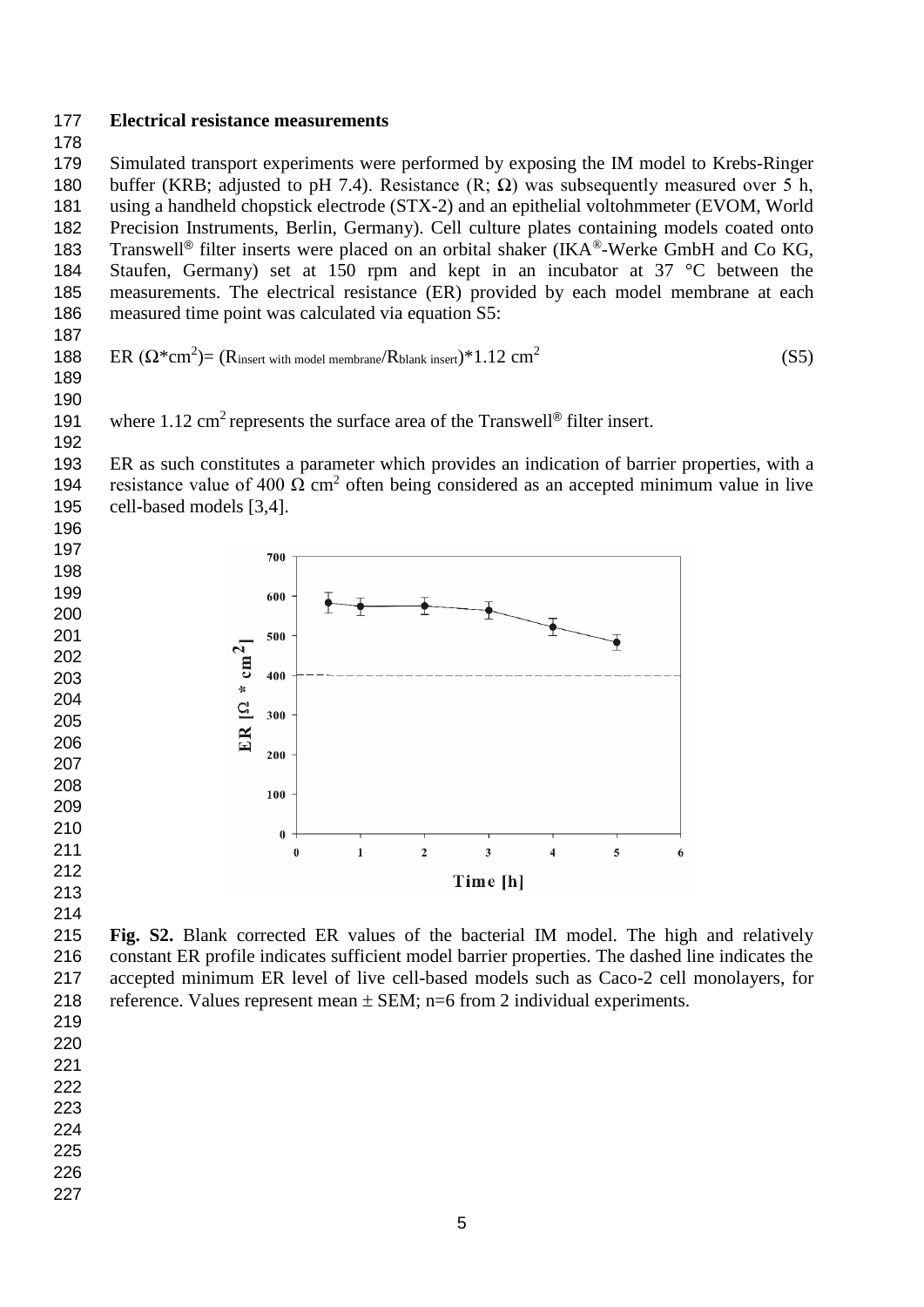**Electrical resistance measurements**

 Simulated transport experiments were performed by exposing the IM model to Krebs-Ringer 180 buffer (KRB; adjusted to pH 7.4). Resistance (R;  $\Omega$ ) was subsequently measured over 5 h, using a handheld chopstick electrode (STX-2) and an epithelial voltohmmeter (EVOM, World Precision Instruments, Berlin, Germany). Cell culture plates containing models coated onto 183 Transwell<sup>®</sup> filter inserts were placed on an orbital shaker (IKA<sup>®</sup>-Werke GmbH and Co KG, Staufen, Germany) set at 150 rpm and kept in an incubator at 37 °C between the measurements. The electrical resistance (ER) provided by each model membrane at each measured time point was calculated via equation S5:

188 ER  $(\Omega^*cm^2)$  = (R<sub>insert with model membrane</sub>/R<sub>blank insert</sub>)\*1.12 cm<sup>2</sup> (S5)

 



 ER as such constitutes a parameter which provides an indication of barrier properties, with a 194 resistance value of 400 Ω cm<sup>2</sup> often being considered as an accepted minimum value in live cell-based models [3,4].





 **Fig. S2.** Blank corrected ER values of the bacterial IM model. The high and relatively constant ER profile indicates sufficient model barrier properties. The dashed line indicates the accepted minimum ER level of live cell-based models such as Caco-2 cell monolayers, for 218 reference. Values represent mean  $\pm$  SEM; n=6 from 2 individual experiments.

- 
- 
- 
- 
- 
- 
-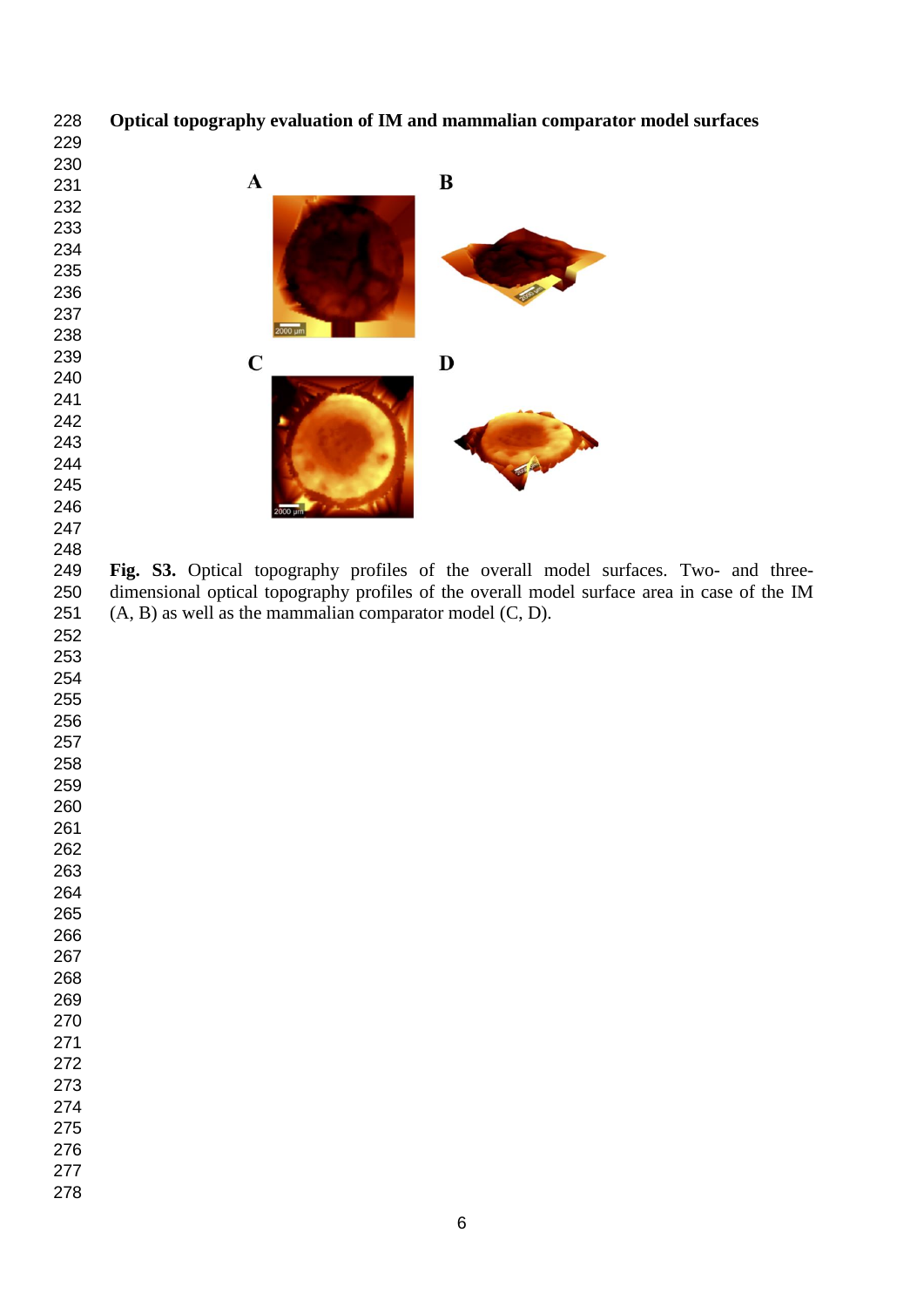**Optical topography evaluation of IM and mammalian comparator model surfaces**



248<br>249 Fig. S3. Optical topography profiles of the overall model surfaces. Two- and three- dimensional optical topography profiles of the overall model surface area in case of the IM 251  $(A, B)$  as well as the mammalian comparator model  $(C, D)$ .

- 
- 
- 
- 
- 
- 
- 
- 
- 
- 
- 
-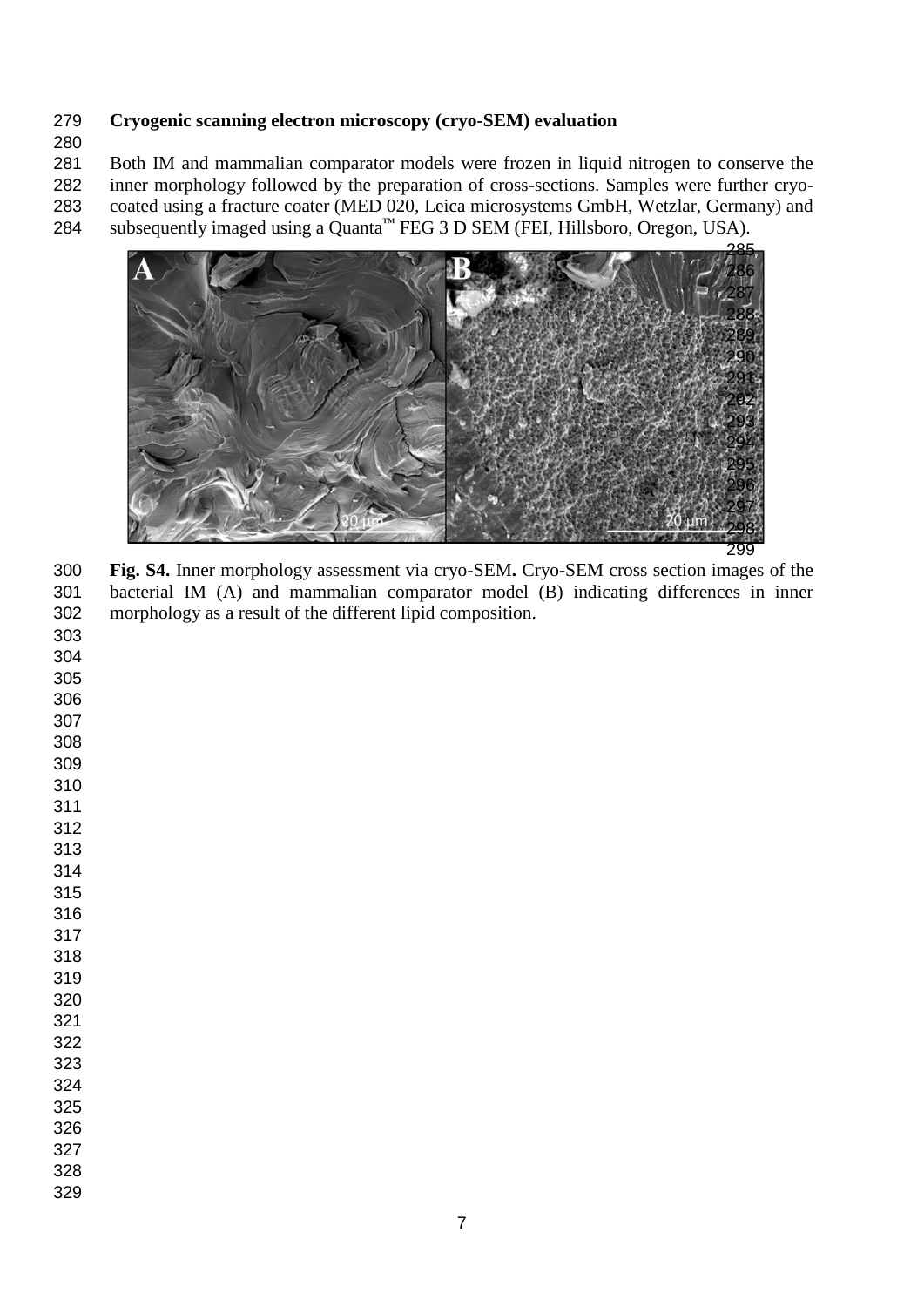### **Cryogenic scanning electron microscopy (cryo-SEM) evaluation**

 Both IM and mammalian comparator models were frozen in liquid nitrogen to conserve the inner morphology followed by the preparation of cross-sections. Samples were further cryo-coated using a fracture coater (MED 020, Leica microsystems GmbH, Wetzlar, Germany) and

284 subsequently imaged using a Quanta™ FEG 3 D SEM (FEI, Hillsboro, Oregon, USA).



 **Fig. S4.** Inner morphology assessment via cryo-SEM**.** Cryo-SEM cross section images of the bacterial IM (A) and mammalian comparator model (B) indicating differences in inner morphology as a result of the different lipid composition.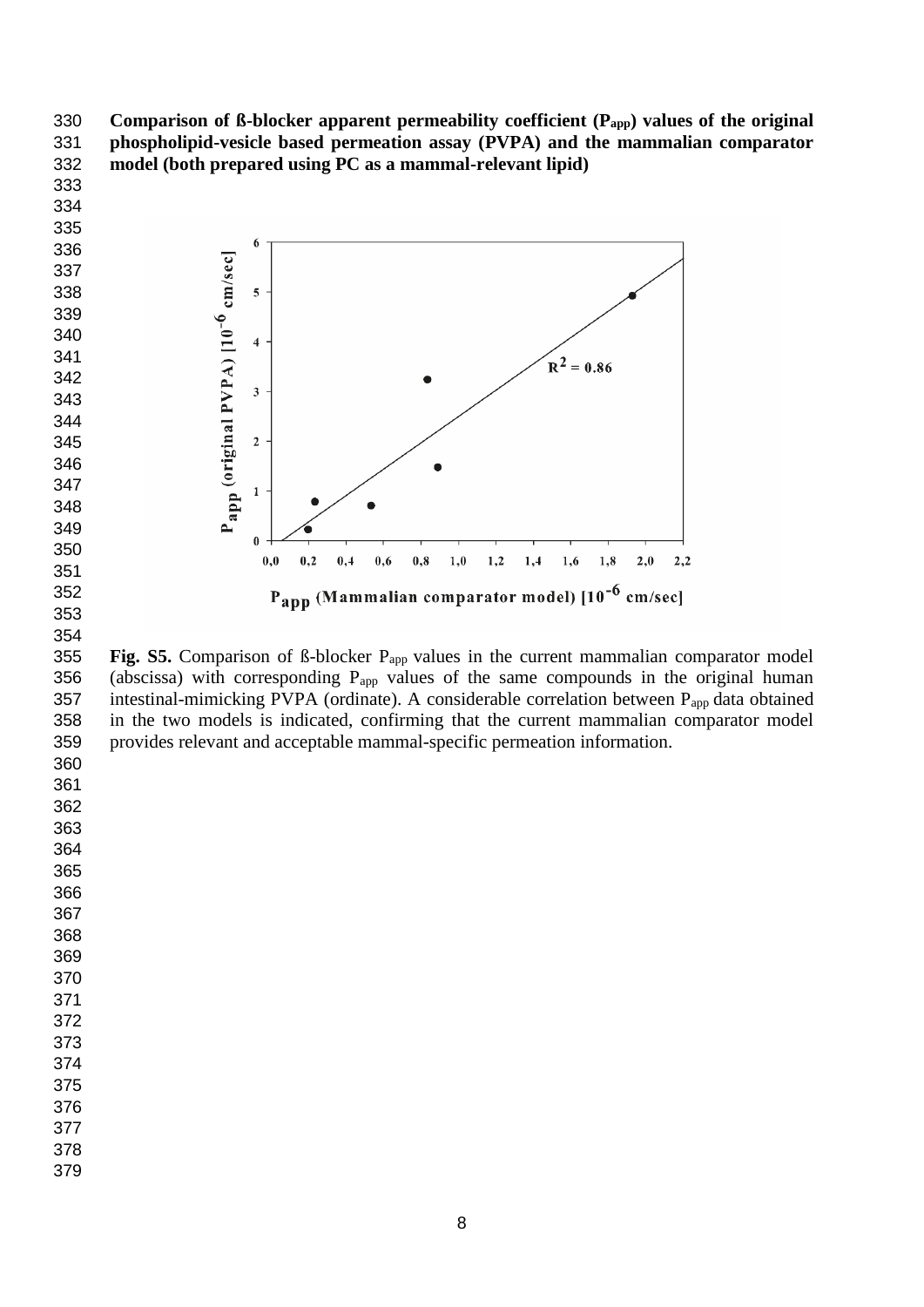**Comparison of ß-blocker apparent permeability coefficient (Papp) values of the original phospholipid-vesicle based permeation assay (PVPA) and the mammalian comparator model (both prepared using PC as a mammal-relevant lipid)**



355 **Fig. S5.** Comparison of ß-blocker P<sub>app</sub> values in the current mammalian comparator model 356 (abscissa) with corresponding  $P_{app}$  values of the same compounds in the original human 357 intestinal-mimicking PVPA (ordinate). A considerable correlation between P<sub>app</sub> data obtained in the two models is indicated, confirming that the current mammalian comparator model provides relevant and acceptable mammal-specific permeation information. 

 

- 
- 
- 
- 
- 
- 
- 
- 
- 
- 
- 

 

- 
- 
- 
-